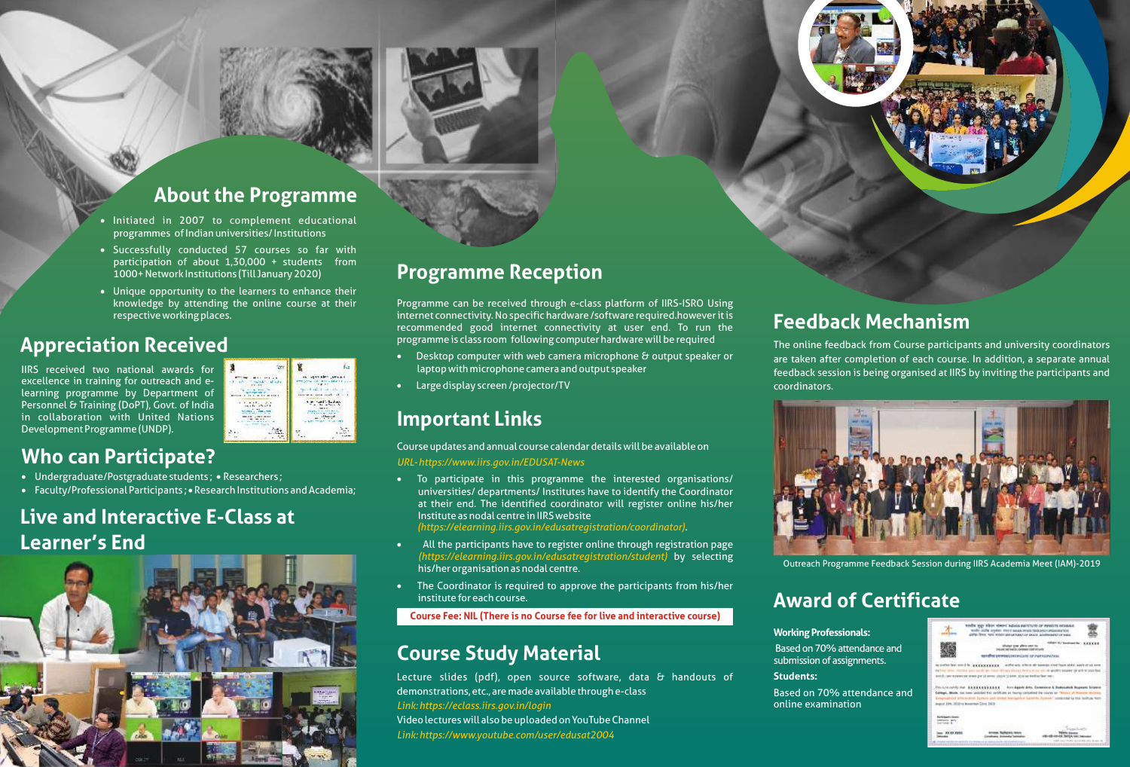

### **About the Programme**

- Initiated in 2007 to complement educational
- participation of about 1,30,000 + students from<br>1000+Network Institutions (Till January 2020)
- **1000+ Network Institutions (Till January 2020)**<br>• Unique opportunity to the learners to enhance their **Programme Keception** knowledge by attending the online course at their respective working places.

#### **Appreciation Received**

IIRS received two national awards for excellence in training for outreach and elearning programme by Department of Personnel & Training (DoPT), Govt. of India in collaboration with United Nations Development Programme (UNDP).



#### **Who can P**

- 
- Faculty/Professional Participants ; Research Institutions and Academia;

## **Live and Interactive E-Class at Learner's End**





#### **Programme Reception**

Programme can be received through e-class platform of IIRS-ISRO Using internet connectivity. No specific hardware /software required.however it is recommended good internet connectivity at user end. To run the

- 
- Large display screen /projector/TV

#### **Important Links**

*URL- https://www.iirs.gov.in/EDUSAT-News*  Course updates and annual course calendar details will be available on<br> **Who can Participate?**<br>
• Undergraduate/Postgraduate students; • Researchers;<br>
• To participate in this programme the interested organisation

Faculty/Professional Participants ; • Research Institutions and Academia; universities/ departments/ Institutes have to identify the Coordinator at their end. The identified coordinator will register online his/her Institute as nodal centre in IIRS website

*(https://elearning.iirs.gov.in/edusatregistration/coordinator)*

- (https://elearning.iirs.gov.in/edusatregistration/student) by selecting
- · but call rivgramme recupers session during into Academia Meet<br>The Coordinator is required to approve the participants from his/her و The Coordinator is required to approve the participants from his/her institute for each course.

#### **Course Fee: NIL (There is no Course fee for live and interactive course)**

#### **Course Study Material**

Lecture slides (pdf), open source software, data & handouts of demonstrations, etc., are made available through e-class Video lectures will also be uploaded on YouTube Channel *Link: https://eclass.iirs.gov.in/login Link: https://www.youtube.com/user/edusat2004* 

#### **Feedback Mechanism**

programme is class room following computer hardware will be required for the online feedback from Course participants and university computer with web camera microphone & output speaker or the online feedback from Course p ·laptop with microphone camera and output speaker feedback session is being organised at IIRS by inviting the participants and The online feedback from Course participants and university coordinators are taken after completion of each course. In addition, a separate annual coordinators.



Outreach Programme Feedback Session during IIRS Academia Meet (IAM)-2019

## **Award of Certificate**

**Working Professionals:** 

online examination

**Students:**

submission of assignments.